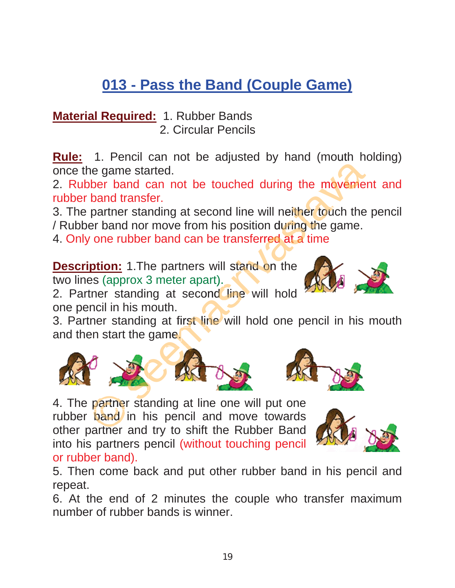## **013 - Pass the Band (Couple Game)**

**Material Required:** 1. Rubber Bands 2. Circular Pencils

**Rule:** 1. Pencil can not be adjusted by hand (mouth holding) once the game started.

2. Rubber band can not be touched during the movement and rubber band transfer.

3. The partner standing at second line will neither touch the pencil / Rubber band nor move from his position during the game. ncil can not be adjusted by hand (mouth hole estarted.<br>
and can not be touched during the movement<br>
ransfer.<br>
It standing at second line will neither touch the p<br>
dubber band can be transferred at a time<br>
1.The partners wi

4. Only one rubber band can be transferred at a time

**Description:** 1. The partners will stand on the two lines (approx 3 meter apart).



two lines (approx 3 meter apart).<br>2. Partner standing at second line will hold one pencil in his mouth.

3. Partner standing at first line will hold one pencil in his mouth and then start the game.





4. The partner standing at line one will put one rubber band in his pencil and move towards other partner and try to shift the Rubber Band into his partners pencil (without touching pencil or rubber band). partner s<br>**band** in<br>partner an



5. Then come back and put other rubber band in his pencil and repeat.

6. At the end of 2 minutes the couple who transfer maximum number of rubber bands is winner.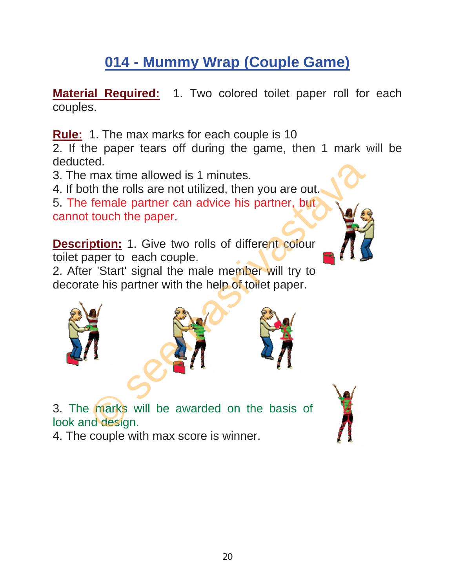## **014 - Mummy Wrap (Couple Game)**

**Material Required:** 1. Two colored toilet paper roll for each couples.

**Rule:** 1. The max marks for each couple is 10

2. If the paper tears off during the game, then 1 mark will be deducted.

3. The max time allowed is 1 minutes.

4. If both the rolls are not utilized, then you are out.

5. The female partner can advice his partner, but cannot touch the paper. 5. The female partner can advice his partner, but<br>cannot touch the paper.<br>**Description:** 1. Give two rolls of different colour

toilet paper to each couple.

2. After 'Start' signal the male member will try to decorate his partner with the help of toilet paper.





3. The marks will be awarded on the basis of look and design. 4. The marks will be awarded on the<br>look and design.<br>4. The couple with max score is winner. e marks

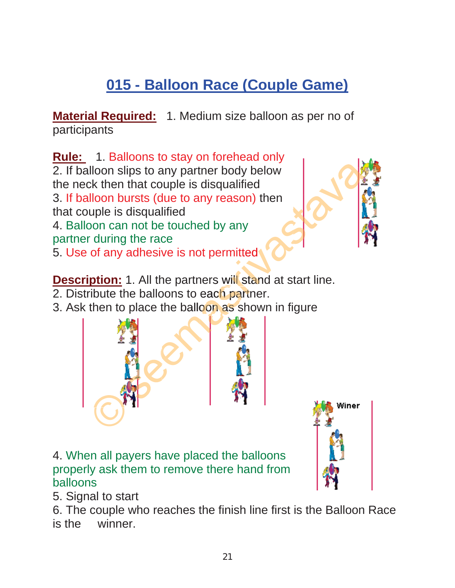## **015 - Balloon Race (Couple Game)**

**Material Required:** 1. Medium size balloon as per no of participants

**Rule:** 1. Balloons to stay on forehead only 2. If balloon slips to any partner body below the neck then that couple is disqualified 3. If balloon bursts (due to any reason) then that couple is disqualified 4. Balloon can not be touched by any partner during the race 5. Use of any adhesive is not permitted example is disqualified<br>at couple is disqualified<br>ts (due to any reason) then<br>qualified<br>of be touched by any<br>e race<br>hesive is not permitted<br>All the partners will stand at start line.<br>balloons to each partner.<br>ace the ballo

**Description:** 1. All the partners will stand at start line.

2. Distribute the balloons to each partner.

3. Ask then to place the balloon as shown in figure





5. Signal to start

6. The couple who reaches the finish line first is the Balloon Race is the winner.